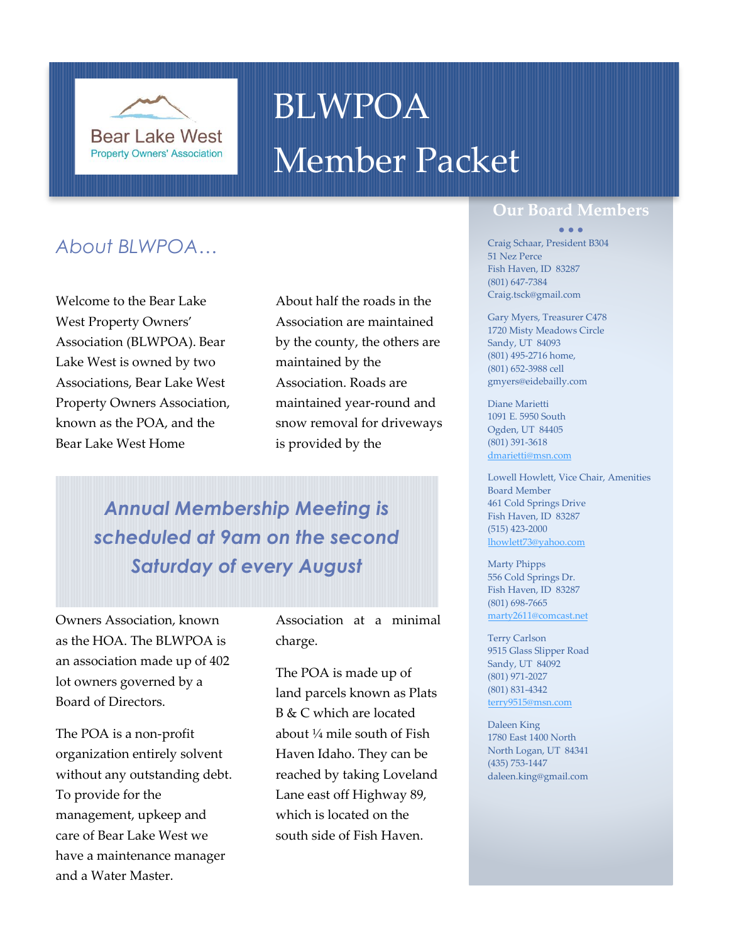

# BLWPOA Member Packet

## *About BLWPOA…*

Welcome to the Bear Lake West Property Owners' Association (BLWPOA). Bear Lake West is owned by two Associations, Bear Lake West Property Owners Association, known as the POA, and the Bear Lake West Home

About half the roads in the Association are maintained by the county, the others are maintained by the Association. Roads are maintained year-round and snow removal for driveways is provided by the

*Annual Membership Meeting is scheduled at 9am on the second Saturday of every August*

Owners Association, known as the HOA. The BLWPOA is an association made up of 402 lot owners governed by a Board of Directors.

The POA is a non-profit organization entirely solvent without any outstanding debt. To provide for the management, upkeep and care of Bear Lake West we have a maintenance manager and a Water Master.

Association at a minimal charge.

The POA is made up of land parcels known as Plats B & C which are located about ¼ mile south of Fish Haven Idaho. They can be reached by taking Loveland Lane east off Highway 89, which is located on the south side of Fish Haven.

### **Our Board Members**

#### • • •

Craig Schaar, President B304 51 Nez Perce Fish Haven, ID 83287 (801) 647-7384 Craig.tsck@gmail.com

Gary Myers, Treasurer C478 1720 Misty Meadows Circle Sandy, UT 84093 (801) 495-2716 home, (801) 652-3988 cell gmyers@eidebailly.com

Diane Marietti 1091 E. 5950 South Ogden, UT 84405 (801) 391-3618 [dmarietti@msn.com](mailto:dmarietti@msn.com)

Lowell Howlett, Vice Chair, Amenities Board Member 461 Cold Springs Drive Fish Haven, ID 83287 (515) 423-2000 [lhowlett73@yahoo.com](mailto:lhowlett73@yahoo.com)

Marty Phipps 556 Cold Springs Dr. Fish Haven, ID 83287 (801) 698-7665 [marty2611@comcast.net](mailto:marty2611@comcast.net)

Terry Carlson 9515 Glass Slipper Road Sandy, UT 84092 (801) 971-2027 (801) 831-4342 [terry9515@msn.com](mailto:terry9515@msn.com)

Daleen King 1780 East 1400 North North Logan, UT 84341 (435) 753-1447 daleen.king@gmail.com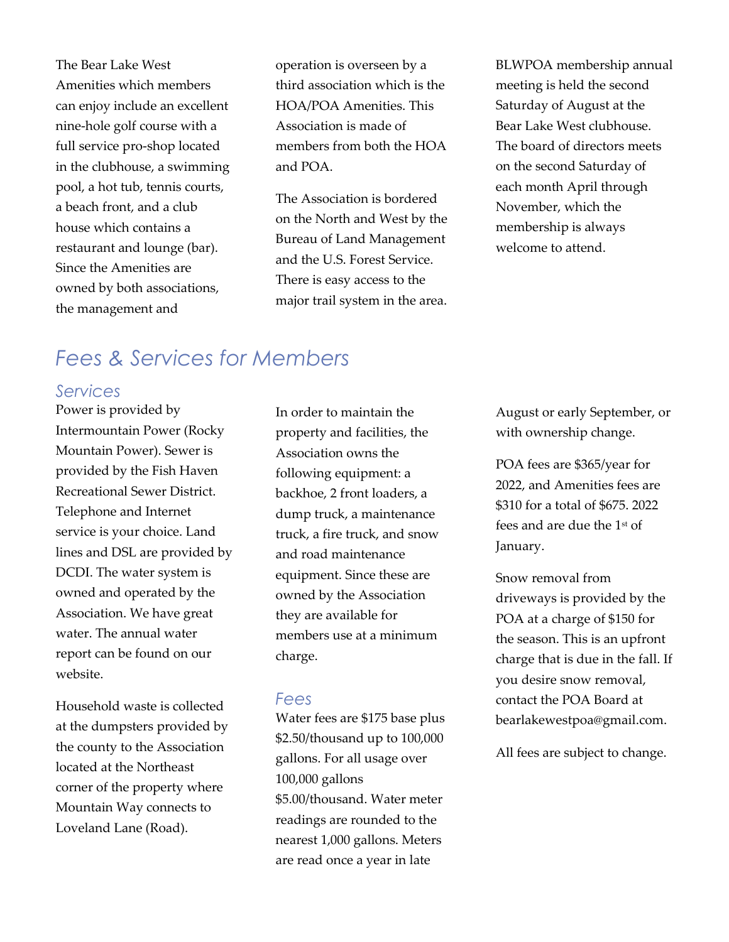The Bear Lake West Amenities which members can enjoy include an excellent nine-hole golf course with a full service pro-shop located in the clubhouse, a swimming pool, a hot tub, tennis courts, a beach front, and a club house which contains a restaurant and lounge (bar). Since the Amenities are owned by both associations, the management and

operation is overseen by a third association which is the HOA/POA Amenities. This Association is made of members from both the HOA and POA.

The Association is bordered on the North and West by the Bureau of Land Management and the U.S. Forest Service. There is easy access to the major trail system in the area.

BLWPOA membership annual meeting is held the second Saturday of August at the Bear Lake West clubhouse. The board of directors meets on the second Saturday of each month April through November, which the membership is always welcome to attend.

# *Fees & Services for Members*

### *Services*

Power is provided by Intermountain Power (Rocky Mountain Power). Sewer is provided by the Fish Haven Recreational Sewer District. Telephone and Internet service is your choice. Land lines and DSL are provided by DCDI. The water system is owned and operated by the Association. We have great water. The annual water report can be found on our website.

Household waste is collected at the dumpsters provided by the county to the Association located at the Northeast corner of the property where Mountain Way connects to Loveland Lane (Road).

In order to maintain the property and facilities, the Association owns the following equipment: a backhoe, 2 front loaders, a dump truck, a maintenance truck, a fire truck, and snow and road maintenance equipment. Since these are owned by the Association they are available for members use at a minimum charge.

### *Fees*

Water fees are \$175 base plus \$2.50/thousand up to 100,000 gallons. For all usage over 100,000 gallons \$5.00/thousand. Water meter readings are rounded to the nearest 1,000 gallons. Meters are read once a year in late

August or early September, or with ownership change.

POA fees are \$365/year for 2022, and Amenities fees are \$310 for a total of \$675. 2022 fees and are due the 1st of January.

Snow removal from driveways is provided by the POA at a charge of \$150 for the season. This is an upfront charge that is due in the fall. If you desire snow removal, contact the POA Board at bearlakewestpoa@gmail.com.

All fees are subject to change.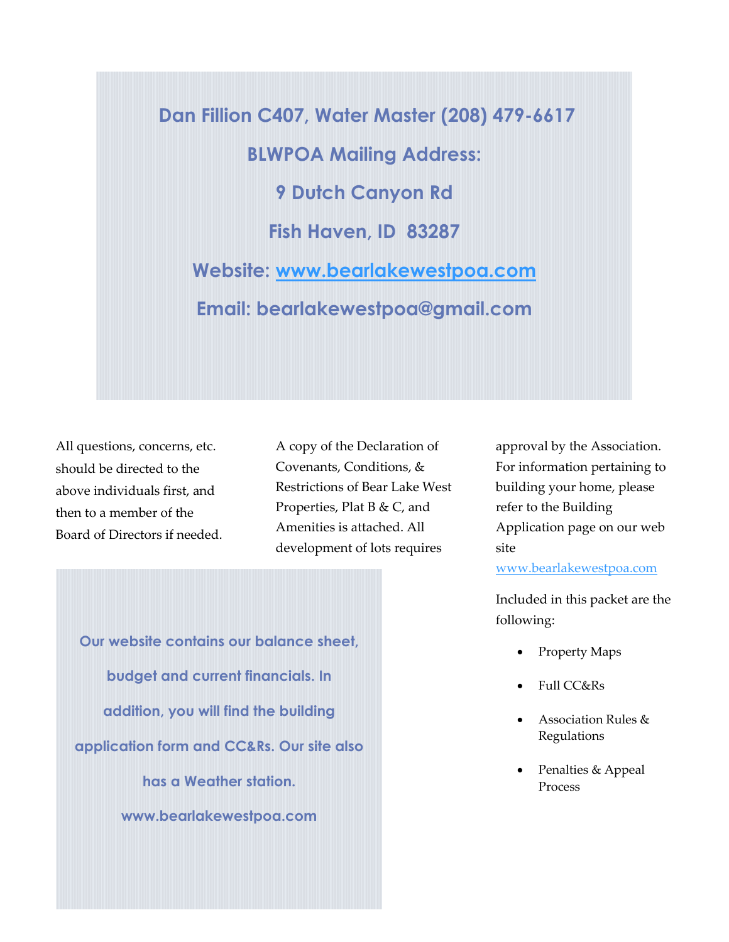**Dan Fillion C407, Water Master (208) 479-6617 BLWPOA Mailing Address: 9 Dutch Canyon Rd Fish Haven, ID 83287 Website: www.bearlakewestpoa.com Email: b[earlakewestpoa@gmail.com](http://www.bearlakewestpoa.com/)** 

All questions, concerns, etc. should be directed to the above individuals first, and then to a member of the Board of Directors if needed. A copy of the Declaration of Covenants, Conditions, & Restrictions of Bear Lake West Properties, Plat B & C, and Amenities is attached. All development of lots requires

**Our website contains our balance sheet, budget and current financials. In addition, you will find the building application form and CC&Rs. Our site also has a Weather station. www.bearlakewestpoa.com**

approval by the Association. For information pertaining to building your home, please refer to the Building Application page on our web site

[www.bearlakewestpoa.com](http://www.bearlakewestpoa.com/)

Included in this packet are the following:

- Property Maps
- Full CC&Rs
- Association Rules & Regulations
- Penalties & Appeal Process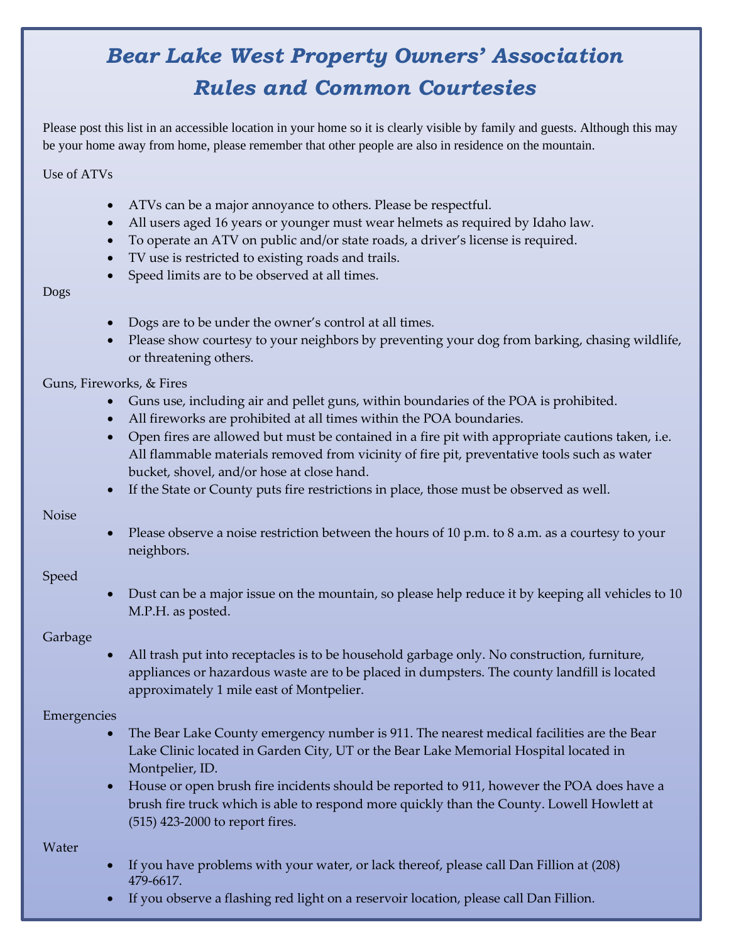# *Bear Lake West Property Owners' Association Rules and Common Courtesies*

Please post this list in an accessible location in your home so it is clearly visible by family and guests. Although this may be your home away from home, please remember that other people are also in residence on the mountain.

Use of ATVs

- ATVs can be a major annoyance to others. Please be respectful.
- All users aged 16 years or younger must wear helmets as required by Idaho law.
- To operate an ATV on public and/or state roads, a driver's license is required.
- TV use is restricted to existing roads and trails.
- Speed limits are to be observed at all times.

Dogs

- Dogs are to be under the owner's control at all times.
- Please show courtesy to your neighbors by preventing your dog from barking, chasing wildlife, or threatening others.

Guns, Fireworks, & Fires

- Guns use, including air and pellet guns, within boundaries of the POA is prohibited.
- All fireworks are prohibited at all times within the POA boundaries.
- Open fires are allowed but must be contained in a fire pit with appropriate cautions taken, i.e. All flammable materials removed from vicinity of fire pit, preventative tools such as water bucket, shovel, and/or hose at close hand.
- If the State or County puts fire restrictions in place, those must be observed as well.

Noise

• Please observe a noise restriction between the hours of 10 p.m. to 8 a.m. as a courtesy to your neighbors.

Speed

• Dust can be a major issue on the mountain, so please help reduce it by keeping all vehicles to 10 M.P.H. as posted.

Garbage

• All trash put into receptacles is to be household garbage only. No construction, furniture, appliances or hazardous waste are to be placed in dumpsters. The county landfill is located approximately 1 mile east of Montpelier.

### Emergencies

- The Bear Lake County emergency number is 911. The nearest medical facilities are the Bear Lake Clinic located in Garden City, UT or the Bear Lake Memorial Hospital located in Montpelier, ID.
- House or open brush fire incidents should be reported to 911, however the POA does have a brush fire truck which is able to respond more quickly than the County. Lowell Howlett at (515) 423-2000 to report fires.

Water

- If you have problems with your water, or lack thereof, please call Dan Fillion at (208) 479-6617.
- If you observe a flashing red light on a reservoir location, please call Dan Fillion.